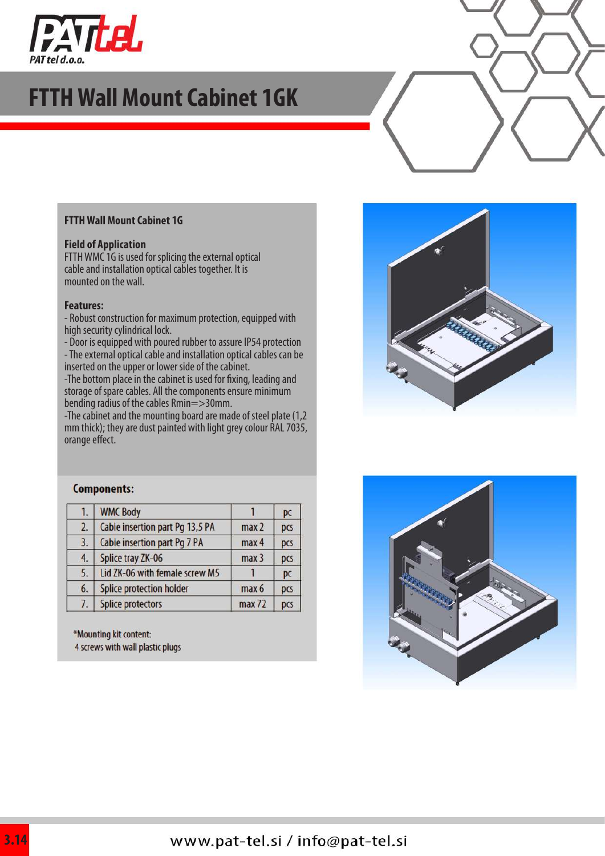

## **FTTH Wall Mount Cabinet 1GK**

#### **FTTH Wall Mount Cabinet 1G**

#### **Field of Application**

FTTH WMC 1G is used for splicing the external optical cable and installation optical cables together. It is mounted on the wall.

#### **Features:**

- Robust construction for maximum protection, equipped with high security cylindrical lock.

- Door is equipped with poured rubber to assure IP54 protection

- The external optical cable and installation optical cables can be inserted on the upper or lower side of the cabinet.

-The bottom place in the cabinet is used for fixing, leading and storage of spare cables. All the components ensure minimum bending radius of the cables Rmin=>30mm.

-The cabinet and the mounting board are made of steel plate (1,2 mm thick); they are dust painted with light grey colour RAL 7035, orange effect.



#### **Components:**

| 1. | <b>WMC Body</b>                 |                  | pc  |
|----|---------------------------------|------------------|-----|
| 2. | Cable insertion part Pg 13,5 PA | max <sub>2</sub> | pcs |
| 3. | Cable insertion part Pg 7 PA    | max 4            | pcs |
| 4. | Splice tray ZK-06               | max <sub>3</sub> | pcs |
| 5. | Lid ZK-06 with female screw M5  |                  | pc  |
| 6. | Splice protection holder        | max 6            | pcs |
| 7. | <b>Splice protectors</b>        | max 72           | pcs |

\*Mounting kit content: 4 screws with wall plastic plugs